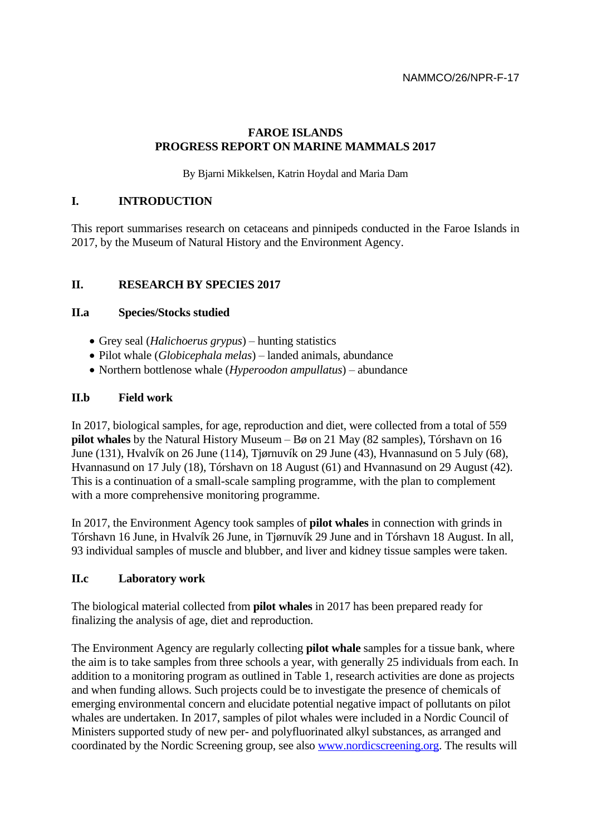### **FAROE ISLANDS PROGRESS REPORT ON MARINE MAMMALS 2017**

By Bjarni Mikkelsen, Katrin Hoydal and Maria Dam

### **I. INTRODUCTION**

This report summarises research on cetaceans and pinnipeds conducted in the Faroe Islands in 2017, by the Museum of Natural History and the Environment Agency.

### **II. RESEARCH BY SPECIES 2017**

### **II.a Species/Stocks studied**

- Grey seal (*Halichoerus grypus*) hunting statistics
- Pilot whale (*Globicephala melas*) landed animals, abundance
- Northern bottlenose whale (*Hyperoodon ampullatus*) abundance

### **II.b Field work**

In 2017, biological samples, for age, reproduction and diet, were collected from a total of 559 **pilot whales** by the Natural History Museum – Bø on 21 May (82 samples), Tórshavn on 16 June (131), Hvalvík on 26 June (114), Tjørnuvík on 29 June (43), Hvannasund on 5 July (68), Hvannasund on 17 July (18), Tórshavn on 18 August (61) and Hvannasund on 29 August (42). This is a continuation of a small-scale sampling programme, with the plan to complement with a more comprehensive monitoring programme.

In 2017, the Environment Agency took samples of **pilot whales** in connection with grinds in Tórshavn 16 June, in Hvalvík 26 June, in Tjørnuvík 29 June and in Tórshavn 18 August. In all, 93 individual samples of muscle and blubber, and liver and kidney tissue samples were taken.

#### **II.c Laboratory work**

The biological material collected from **pilot whales** in 2017 has been prepared ready for finalizing the analysis of age, diet and reproduction.

The Environment Agency are regularly collecting **pilot whale** samples for a tissue bank, where the aim is to take samples from three schools a year, with generally 25 individuals from each. In addition to a monitoring program as outlined in Table 1, research activities are done as projects and when funding allows. Such projects could be to investigate the presence of chemicals of emerging environmental concern and elucidate potential negative impact of pollutants on pilot whales are undertaken. In 2017, samples of pilot whales were included in a Nordic Council of Ministers supported study of new per- and polyfluorinated alkyl substances, as arranged and coordinated by the Nordic Screening group, see also [www.nordicscreening.org.](http://www.nordicscreening.org/) The results will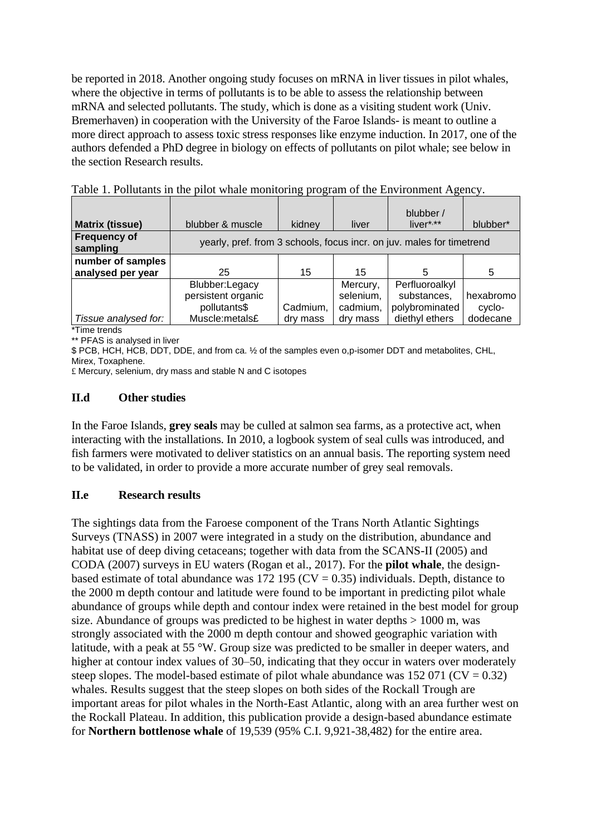be reported in 2018. Another ongoing study focuses on mRNA in liver tissues in pilot whales, where the objective in terms of pollutants is to be able to assess the relationship between mRNA and selected pollutants. The study, which is done as a visiting student work (Univ. Bremerhaven) in cooperation with the University of the Faroe Islands- is meant to outline a more direct approach to assess toxic stress responses like enzyme induction. In 2017, one of the authors defended a PhD degree in biology on effects of pollutants on pilot whale; see below in the section Research results.

|                                 |                                                                       |          |           | blubber /      |           |
|---------------------------------|-----------------------------------------------------------------------|----------|-----------|----------------|-----------|
| <b>Matrix (tissue)</b>          | blubber & muscle                                                      | kidney   | liver     | $liver***$     | blubber*  |
| <b>Frequency of</b><br>sampling | yearly, pref. from 3 schools, focus incr. on juv. males for timetrend |          |           |                |           |
| number of samples               |                                                                       |          |           |                |           |
| analysed per year               | 25                                                                    | 15       | 15        | 5              | 5         |
|                                 | Blubber:Legacy                                                        |          | Mercury,  | Perfluoroalkyl |           |
|                                 | persistent organic                                                    |          | selenium, | substances,    | hexabromo |
|                                 | pollutants\$                                                          | Cadmium, | cadmium,  | polybrominated | cyclo-    |
| Tissue analysed for:            | Muscle:metals£                                                        | dry mass | dry mass  | diethyl ethers | dodecane  |

Table 1. Pollutants in the pilot whale monitoring program of the Environment Agency.

\*Time trends

\*\* PFAS is analysed in liver

\$ PCB, HCH, HCB, DDT, DDE, and from ca. ½ of the samples even o,p-isomer DDT and metabolites, CHL, Mirex, Toxaphene.

£ Mercury, selenium, dry mass and stable N and C isotopes

#### **II.d Other studies**

In the Faroe Islands, **grey seals** may be culled at salmon sea farms, as a protective act, when interacting with the installations. In 2010, a logbook system of seal culls was introduced, and fish farmers were motivated to deliver statistics on an annual basis. The reporting system need to be validated, in order to provide a more accurate number of grey seal removals.

## **II.e Research results**

The sightings data from the Faroese component of the Trans North Atlantic Sightings Surveys (TNASS) in 2007 were integrated in a study on the distribution, abundance and habitat use of deep diving cetaceans; together with data from the SCANS-II (2005) and CODA (2007) surveys in EU waters (Rogan et al., 2017). For the **pilot whale**, the designbased estimate of total abundance was 172 195 ( $CV = 0.35$ ) individuals. Depth, distance to the 2000 m depth contour and latitude were found to be important in predicting pilot whale abundance of groups while depth and contour index were retained in the best model for group size. Abundance of groups was predicted to be highest in water depths  $> 1000$  m, was strongly associated with the 2000 m depth contour and showed geographic variation with latitude, with a peak at 55 °W. Group size was predicted to be smaller in deeper waters, and higher at contour index values of 30–50, indicating that they occur in waters over moderately steep slopes. The model-based estimate of pilot whale abundance was  $152\ 071\ (CV = 0.32)$ whales. Results suggest that the steep slopes on both sides of the Rockall Trough are important areas for pilot whales in the North-East Atlantic, along with an area further west on the Rockall Plateau. In addition, this publication provide a design-based abundance estimate for **Northern bottlenose whale** of 19,539 (95% C.I. 9,921-38,482) for the entire area.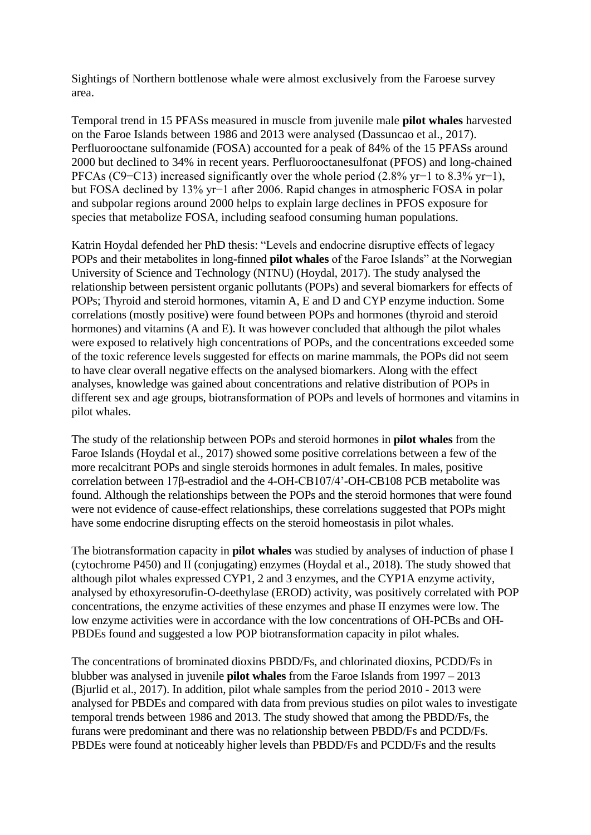Sightings of Northern bottlenose whale were almost exclusively from the Faroese survey area.

Temporal trend in 15 PFASs measured in muscle from juvenile male **pilot whales** harvested on the Faroe Islands between 1986 and 2013 were analysed (Dassuncao et al., 2017). Perfluorooctane sulfonamide (FOSA) accounted for a peak of 84% of the 15 PFASs around 2000 but declined to 34% in recent years. Perfluorooctanesulfonat (PFOS) and long-chained PFCAs (C9−C13) increased significantly over the whole period (2.8% yr−1 to 8.3% yr−1), but FOSA declined by 13% yr−1 after 2006. Rapid changes in atmospheric FOSA in polar and subpolar regions around 2000 helps to explain large declines in PFOS exposure for species that metabolize FOSA, including seafood consuming human populations.

Katrin Hoydal defended her PhD thesis: "Levels and endocrine disruptive effects of legacy POPs and their metabolites in long-finned **pilot whales** of the Faroe Islands" at the Norwegian University of Science and Technology (NTNU) (Hoydal, 2017). The study analysed the relationship between persistent organic pollutants (POPs) and several biomarkers for effects of POPs; Thyroid and steroid hormones, vitamin A, E and D and CYP enzyme induction. Some correlations (mostly positive) were found between POPs and hormones (thyroid and steroid hormones) and vitamins (A and E). It was however concluded that although the pilot whales were exposed to relatively high concentrations of POPs, and the concentrations exceeded some of the toxic reference levels suggested for effects on marine mammals, the POPs did not seem to have clear overall negative effects on the analysed biomarkers. Along with the effect analyses, knowledge was gained about concentrations and relative distribution of POPs in different sex and age groups, biotransformation of POPs and levels of hormones and vitamins in pilot whales.

The study of the relationship between POPs and steroid hormones in **pilot whales** from the Faroe Islands (Hoydal et al., 2017) showed some positive correlations between a few of the more recalcitrant POPs and single steroids hormones in adult females. In males, positive correlation between 17β-estradiol and the 4-OH-CB107/4'-OH-CB108 PCB metabolite was found. Although the relationships between the POPs and the steroid hormones that were found were not evidence of cause-effect relationships, these correlations suggested that POPs might have some endocrine disrupting effects on the steroid homeostasis in pilot whales.

The biotransformation capacity in **pilot whales** was studied by analyses of induction of phase I (cytochrome P450) and II (conjugating) enzymes (Hoydal et al., 2018). The study showed that although pilot whales expressed CYP1, 2 and 3 enzymes, and the CYP1A enzyme activity, analysed by ethoxyresorufin-O-deethylase (EROD) activity, was positively correlated with POP concentrations, the enzyme activities of these enzymes and phase II enzymes were low. The low enzyme activities were in accordance with the low concentrations of OH-PCBs and OH-PBDEs found and suggested a low POP biotransformation capacity in pilot whales.

The concentrations of brominated dioxins PBDD/Fs, and chlorinated dioxins, PCDD/Fs in blubber was analysed in juvenile **pilot whales** from the Faroe Islands from 1997 – 2013 (Bjurlid et al., 2017). In addition, pilot whale samples from the period 2010 - 2013 were analysed for PBDEs and compared with data from previous studies on pilot wales to investigate temporal trends between 1986 and 2013. The study showed that among the PBDD/Fs, the furans were predominant and there was no relationship between PBDD/Fs and PCDD/Fs. PBDEs were found at noticeably higher levels than PBDD/Fs and PCDD/Fs and the results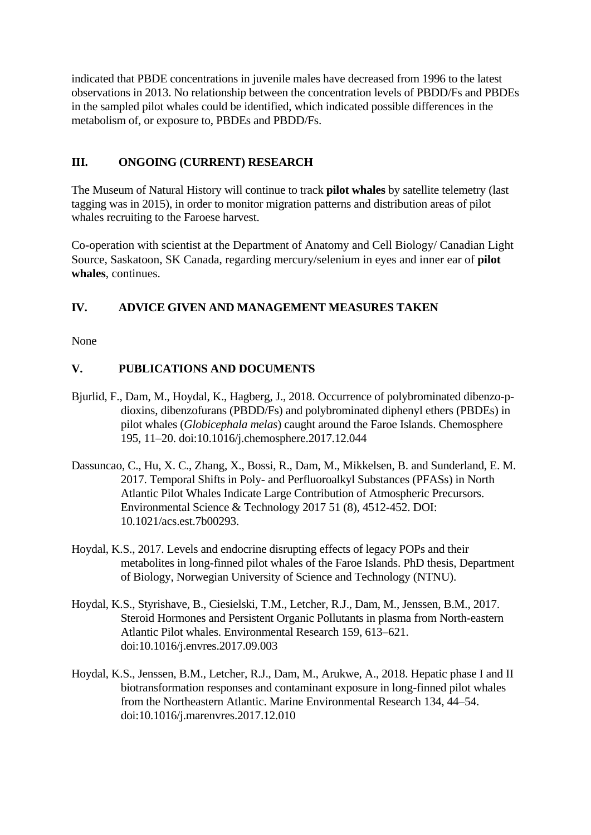indicated that PBDE concentrations in juvenile males have decreased from 1996 to the latest observations in 2013. No relationship between the concentration levels of PBDD/Fs and PBDEs in the sampled pilot whales could be identified, which indicated possible differences in the metabolism of, or exposure to, PBDEs and PBDD/Fs.

# **III. ONGOING (CURRENT) RESEARCH**

The Museum of Natural History will continue to track **pilot whales** by satellite telemetry (last tagging was in 2015), in order to monitor migration patterns and distribution areas of pilot whales recruiting to the Faroese harvest.

Co-operation with scientist at the Department of Anatomy and Cell Biology/ Canadian Light Source, Saskatoon, SK Canada, regarding mercury/selenium in eyes and inner ear of **pilot whales**, continues.

# **IV. ADVICE GIVEN AND MANAGEMENT MEASURES TAKEN**

None

## **V. PUBLICATIONS AND DOCUMENTS**

- Bjurlid, F., Dam, M., Hoydal, K., Hagberg, J., 2018. Occurrence of polybrominated dibenzo-pdioxins, dibenzofurans (PBDD/Fs) and polybrominated diphenyl ethers (PBDEs) in pilot whales (*Globicephala melas*) caught around the Faroe Islands. Chemosphere 195, 11–20. doi:10.1016/j.chemosphere.2017.12.044
- Dassuncao, C., Hu, X. C., Zhang, X., Bossi, R., Dam, M., Mikkelsen, B. and Sunderland, E. M. 2017. Temporal Shifts in Poly- and Perfluoroalkyl Substances (PFASs) in North Atlantic Pilot Whales Indicate Large Contribution of Atmospheric Precursors. Environmental Science & Technology 2017 51 (8), 4512-452. DOI: 10.1021/acs.est.7b00293.
- Hoydal, K.S., 2017. Levels and endocrine disrupting effects of legacy POPs and their metabolites in long-finned pilot whales of the Faroe Islands. PhD thesis, Department of Biology, Norwegian University of Science and Technology (NTNU).
- Hoydal, K.S., Styrishave, B., Ciesielski, T.M., Letcher, R.J., Dam, M., Jenssen, B.M., 2017. Steroid Hormones and Persistent Organic Pollutants in plasma from North-eastern Atlantic Pilot whales. Environmental Research 159, 613–621. doi:10.1016/j.envres.2017.09.003
- Hoydal, K.S., Jenssen, B.M., Letcher, R.J., Dam, M., Arukwe, A., 2018. Hepatic phase I and II biotransformation responses and contaminant exposure in long-finned pilot whales from the Northeastern Atlantic. Marine Environmental Research 134, 44–54. doi:10.1016/j.marenvres.2017.12.010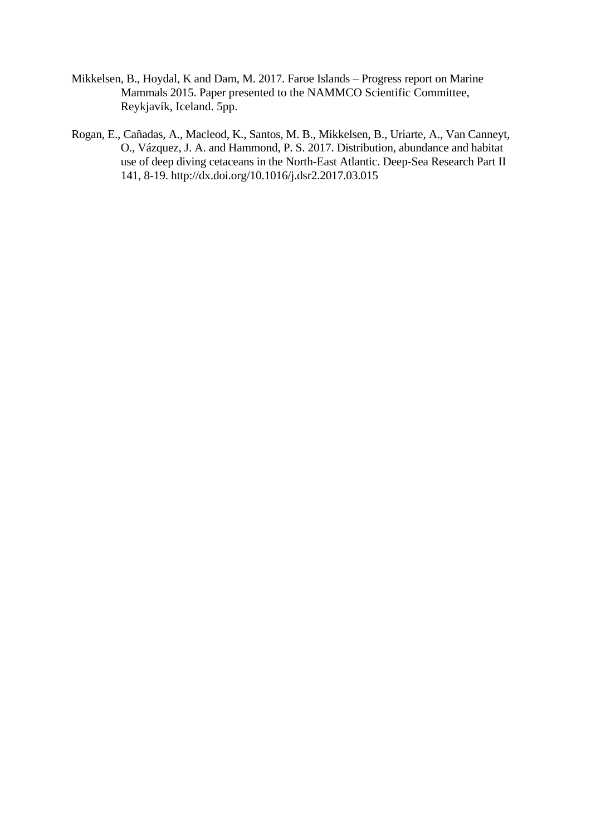- Mikkelsen, B., Hoydal, K and Dam, M. 2017. Faroe Islands Progress report on Marine Mammals 2015. Paper presented to the NAMMCO Scientific Committee, Reykjavík, Iceland. 5pp.
- Rogan, E., Cañadas, A., Macleod, K., Santos, M. B., Mikkelsen, B., Uriarte, A., Van Canneyt, O., Vázquez, J. A. and Hammond, P. S. 2017. Distribution, abundance and habitat use of deep diving cetaceans in the North-East Atlantic. Deep-Sea Research Part II 141, 8-19. http://dx.doi.org/10.1016/j.dsr2.2017.03.015